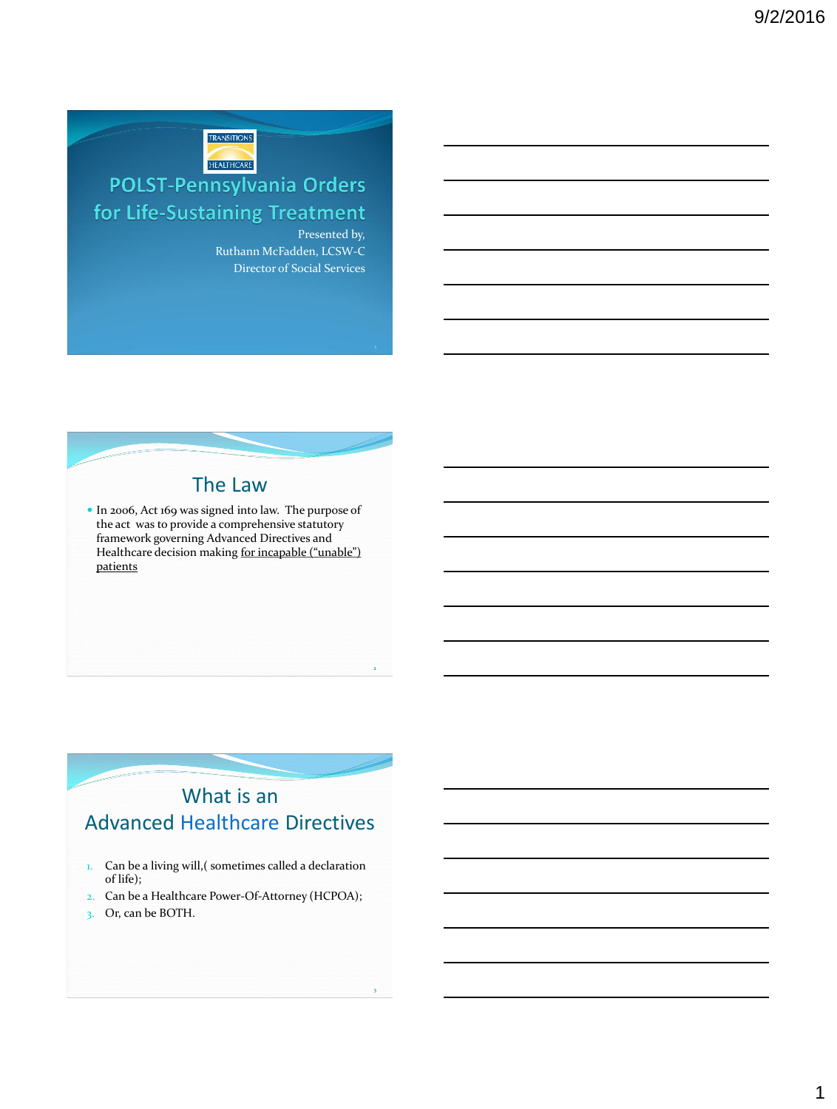

# **POLST-Pennsylvania Orders** for Life-Sustaining Treatment

Presented by, Ruthann McFadden, LCSW-C Director of Social Services

2

3



 In 2006, Act 169 was signed into law. The purpose of the act was to provide a comprehensive statutory framework governing Advanced Directives and Healthcare decision making for incapable ("unable") patients

# What is an Advanced Healthcare Directives

- 1. Can be a living will, (sometimes called a declaration of life);
- 2. Can be a Healthcare Power-Of-Attorney (HCPOA);
- 3. Or, can be BOTH.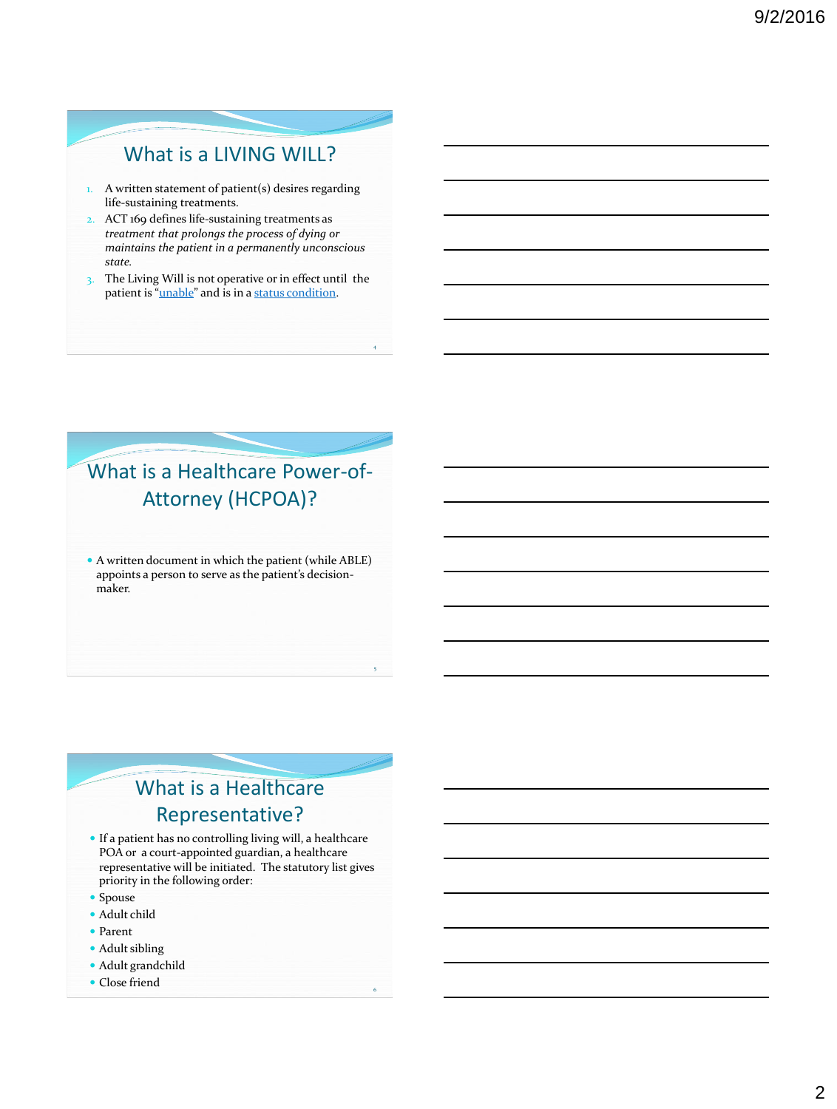### What is a LIVING WILL?

- 1. A written statement of patient(s) desires regarding life-sustaining treatments.
- 2. ACT 169 defines life-sustaining treatments as *treatment that prolongs the process of dying or maintains the patient in a permanently unconscious state.*
- 3. The Living Will is not operative or in effect until the patient is "unable" and is in a status condition.

4

5

6

# What is a Healthcare Power-of-Attorney (HCPOA)?

 A written document in which the patient (while ABLE) appoints a person to serve as the patient's decisionmaker.

# What is a Healthcare Representative?

- If a patient has no controlling living will, a healthcare POA or a court-appointed guardian, a healthcare representative will be initiated. The statutory list gives priority in the following order:
- Spouse
- Adult child
- Parent
- Adult sibling
- Adult grandchild
- Close friend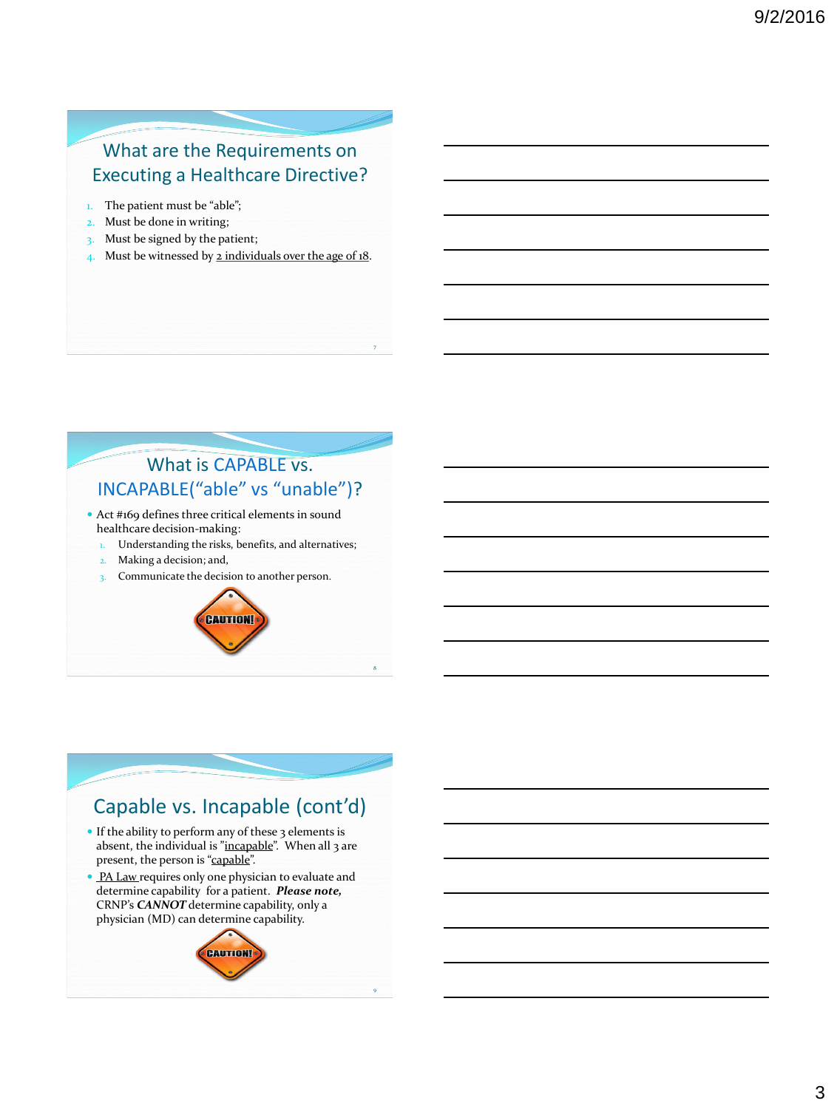#### What are the Requirements on Executing a Healthcare Directive?

- 1. The patient must be "able";
- 2. Must be done in writing;
- 3. Must be signed by the patient;
- 4. Must be witnessed by 2 individuals over the age of 18.

7

8

9

#### What is CAPABLE vs. INCAPABLE("able" vs "unable")?

- Act #169 defines three critical elements in sound healthcare decision-making:
	- Understanding the risks, benefits, and alternatives;
	- Making a decision; and,
- 3. Communicate the decision to another person.



#### Capable vs. Incapable (cont'd) If the ability to perform any of these 3 elements is absent, the individual is "incapable". When all 3 are present, the person is "capable". • PA Law requires only one physician to evaluate and determine capability for a patient. *Please note,* CRNP's *CANNOT* determine capability, only a physician (MD) can determine capability. CAUTION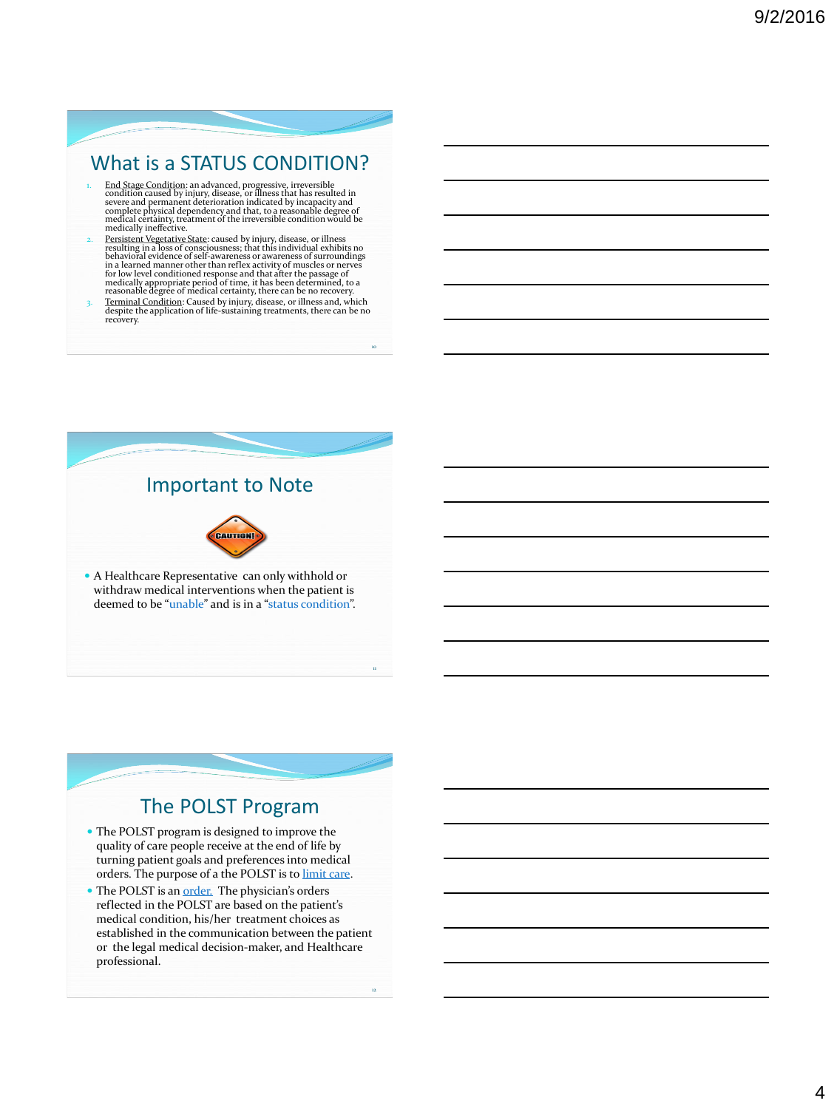### What is a STATUS CONDITION?

- $$\mathsf{L}\mathsf{M}$$  End Stage Condition: an advanced, progressive, irreversible condition caused by injury, disease, or illness that has resulted in severe and permanent deterioration indicated by incapacity and complete physic
- 2. Persistent Vegetative State: caused by injury, disease, or illness<br>resulting in a loss of consciousness; that this individual exhibits no<br>behavioral evidence of self-awareness or awareness of surroundings in a learned manner other than reflex activity of muscles or nerves<br>for low level conditioned response and that after the passage of<br>medically appropriate period of time, it has been determined, to a<br>reasonable degree of
- recovery.

10

12



### The POLST Program

- The POLST program is designed to improve the quality of care people receive at the end of life by turning patient goals and preferences into medical orders. The purpose of a the POLST is to limit care.
- The POLST is an order. The physician's orders reflected in the POLST are based on the patient's medical condition, his/her treatment choices as established in the communication between the patient or the legal medical decision-maker, and Healthcare professional.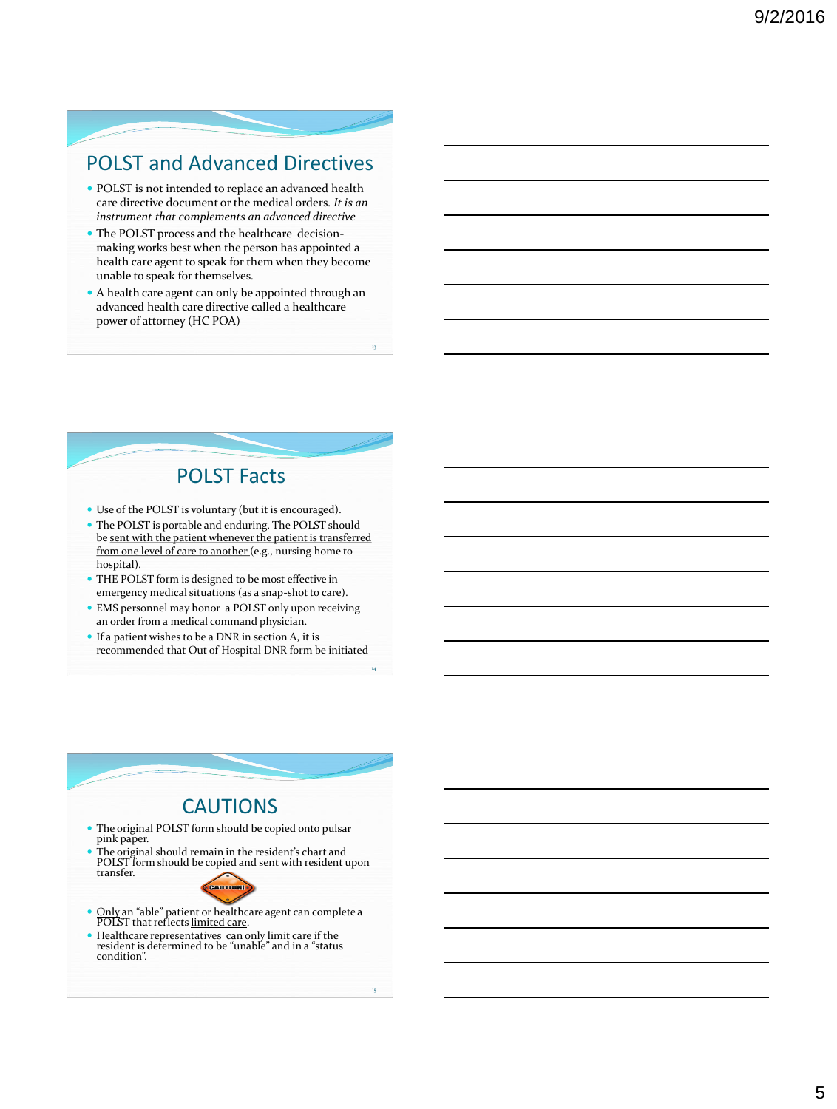### POLST and Advanced Directives

- POLST is not intended to replace an advanced health care directive document or the medical orders. *It is an instrument that complements an advanced directive*
- The POLST process and the healthcare decisionmaking works best when the person has appointed a health care agent to speak for them when they become unable to speak for themselves.
- A health care agent can only be appointed through an advanced health care directive called a healthcare power of attorney (HC POA)

13

14

#### POLST Facts

- Use of the POLST is voluntary (but it is encouraged).
- The POLST is portable and enduring. The POLST should be sent with the patient whenever the patient is transferred from one level of care to another (e.g., nursing home to hospital).
- THE POLST form is designed to be most effective in emergency medical situations (as a snap-shot to care).
- EMS personnel may honor a POLST only upon receiving an order from a medical command physician.
- If a patient wishes to be a DNR in section A, it is recommended that Out of Hospital DNR form be initiated

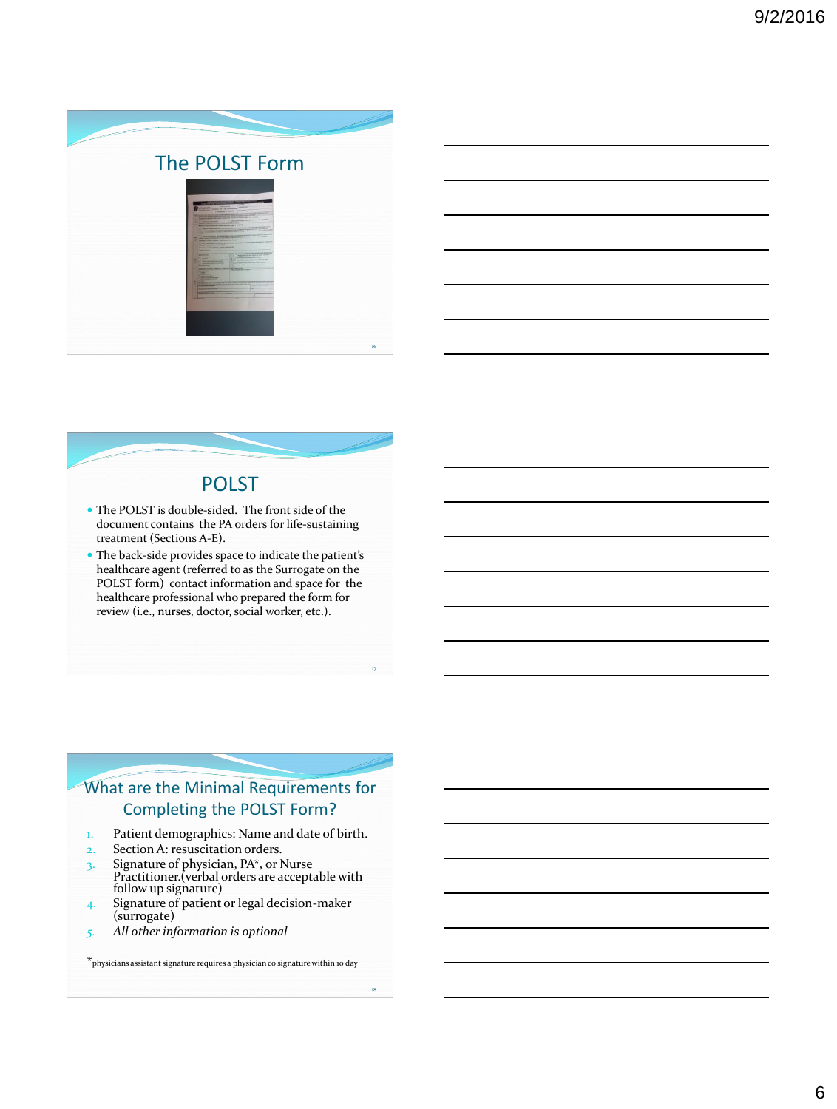

| _____                                                                      |                                                                                                                 |  |    |
|----------------------------------------------------------------------------|-----------------------------------------------------------------------------------------------------------------|--|----|
|                                                                            | <u> 1989 - Johann Stoff, amerikansk politiker (d. 1989)</u>                                                     |  |    |
| the control of the control of the control of the control of the control of |                                                                                                                 |  | __ |
|                                                                            |                                                                                                                 |  |    |
|                                                                            | the contract of the contract of the contract of the contract of the contract of the contract of the contract of |  |    |

#### POLST

- The POLST is double-sided. The front side of the document contains the PA orders for life-sustaining treatment (Sections A-E).
- The back-side provides space to indicate the patient's healthcare agent (referred to as the Surrogate on the POLST form) contact information and space for the healthcare professional who prepared the form for review (i.e., nurses, doctor, social worker, etc.).

17

18

#### What are the Minimal Requirements for Completing the POLST Form?

- 1. Patient demographics: Name and date of birth.
- 2. Section A: resuscitation orders.
- $3.$  Signature of physician, PA $*$ , or Nurse Practitioner.(verbal orders are acceptable with follow up signature)
- 4. Signature of patient or legal decision-maker (surrogate)
- *5. All other information is optional*

 $\star$ physicians assistant signature requires a physician co signature within 10 day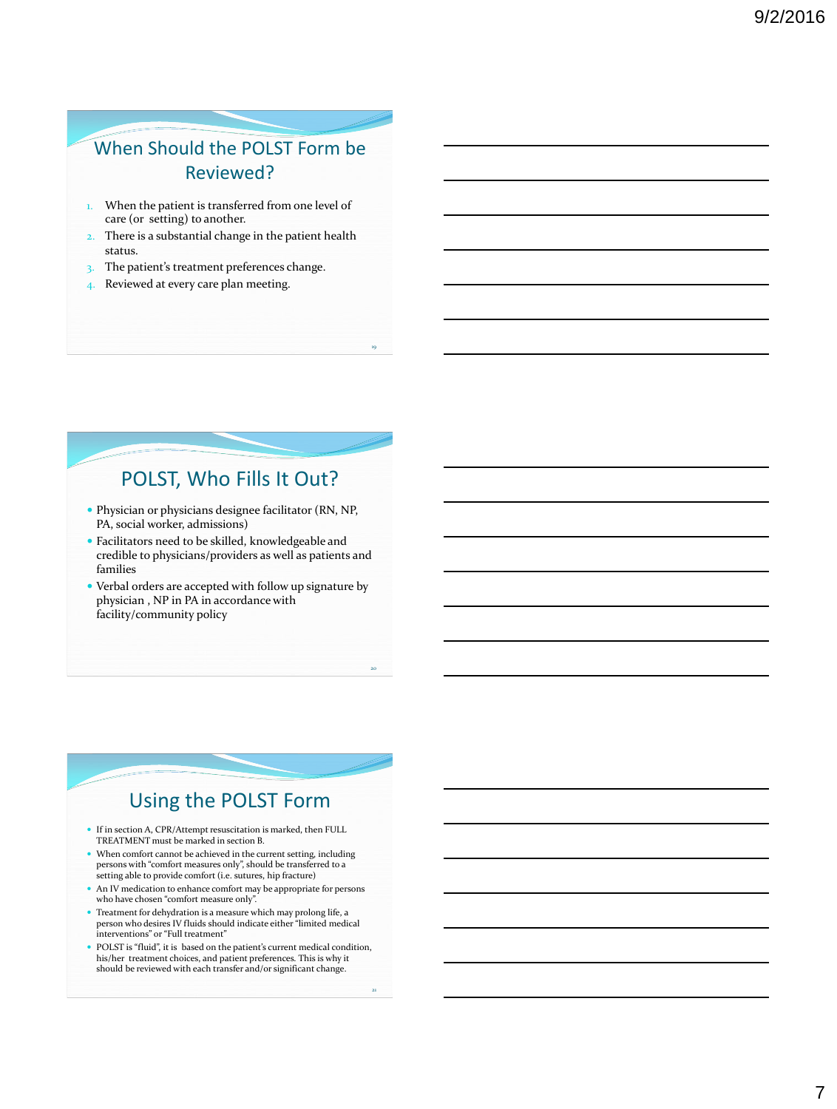### When Should the POLST Form be Reviewed?

- When the patient is transferred from one level of care (or setting) to another.
- 2. There is a substantial change in the patient health status.
- 3. The patient's treatment preferences change.
- 4. Reviewed at every care plan meeting.

### POLST, Who Fills It Out?

19

20

21

- Physician or physicians designee facilitator (RN, NP, PA, social worker, admissions)
- Facilitators need to be skilled, knowledgeable and credible to physicians/providers as well as patients and families
- Verbal orders are accepted with follow up signature by physician , NP in PA in accordance with facility/community policy

#### Using the POLST Form

- If in section A, CPR/Attempt resuscitation is marked, then FULL TREATMENT must be marked in section B.
- When comfort cannot be achieved in the current setting, including persons with "comfort measures only", should be transferred to a setting able to provide comfort (i.e. sutures, hip fracture)
- $\bullet~$  An IV medication to enhance comfort may be appropriate for persons who have chosen "comfort measure only".
- Treatment for dehydration is a measure which may prolong life, a person who desires IV fluids should indicate either "limited medical interventions" or "Full treatment"
- POLST is "fluid", it is based on the patient's current medical condition, his/her treatment choices, and patient preferences. This is why it should be reviewed with each transfer and/or significant change.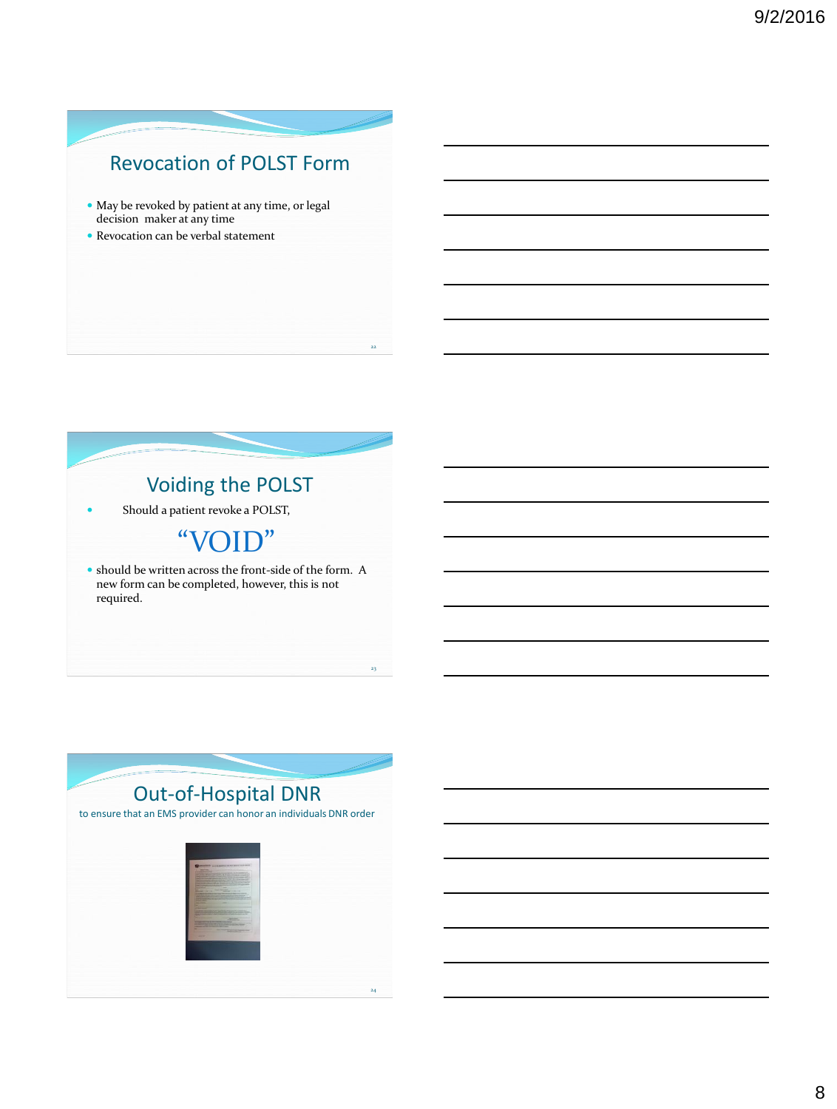## Revocation of POLST Form

22

- May be revoked by patient at any time, or legal decision maker at any time
- Revocation can be verbal statement